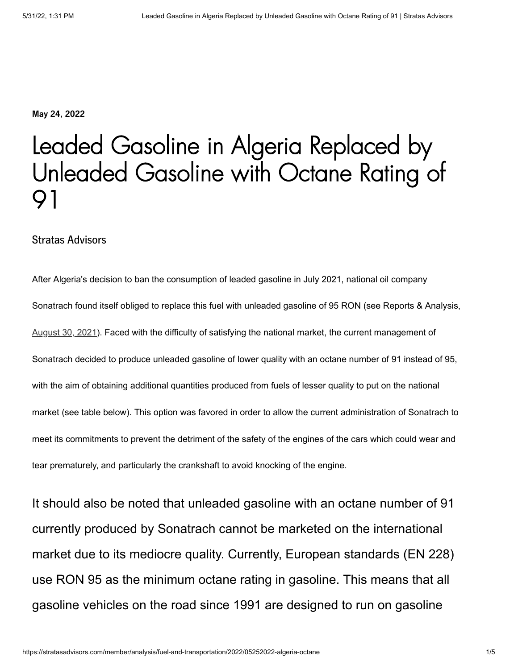**May 24, 2022**

# Leaded Gasoline in Algeria Replaced by Unleaded Gasoline with Octane Rating of 91

#### Stratas Advisors

After Algeria's decision to ban the consumption of leaded gasoline in July 2021, national oil company Sonatrach found itself obliged to replace this fuel with unleaded gasoline of 95 RON (see Reports & Analysis, [August 30, 2021](http://stratasadvisors.com/member/analysis/fuel-and-transportation/2021/08302021-elimination-leaded-gasoline-worldwide-algeria)). Faced with the difficulty of satisfying the national market, the current management of Sonatrach decided to produce unleaded gasoline of lower quality with an octane number of 91 instead of 95, with the aim of obtaining additional quantities produced from fuels of lesser quality to put on the national market (see table below). This option was favored in order to allow the current administration of Sonatrach to meet its commitments to prevent the detriment of the safety of the engines of the cars which could wear and tear prematurely, and particularly the crankshaft to avoid knocking of the engine.

It should also be noted that unleaded gasoline with an octane number of 91 currently produced by Sonatrach cannot be marketed on the international market due to its mediocre quality. Currently, European standards (EN 228) use RON 95 as the minimum octane rating in gasoline. This means that all gasoline vehicles on the road since 1991 are designed to run on gasoline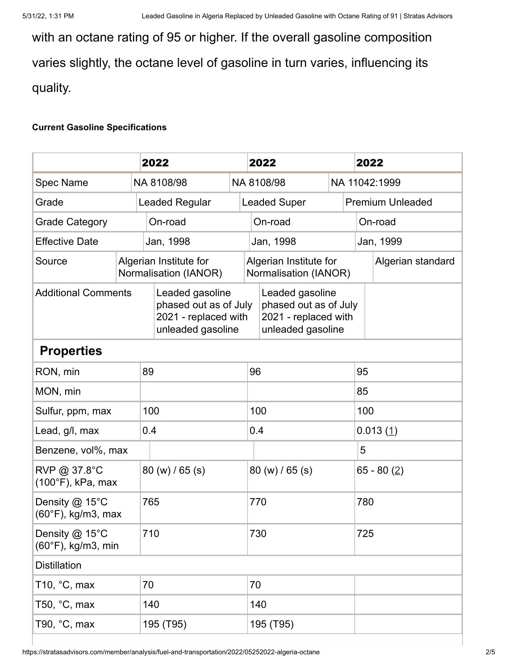with an octane rating of 95 or higher. If the overall gasoline composition varies slightly, the octane level of gasoline in turn varies, influencing its quality.

#### **Current Gasoline Specifications**

|                                                |  |  | 2022                                                                                  |                                                 |                     | 2022                                                                                  |               |               | 2022                    |  |
|------------------------------------------------|--|--|---------------------------------------------------------------------------------------|-------------------------------------------------|---------------------|---------------------------------------------------------------------------------------|---------------|---------------|-------------------------|--|
| <b>Spec Name</b>                               |  |  | NA 8108/98                                                                            |                                                 | NA 8108/98          |                                                                                       | NA 11042:1999 |               |                         |  |
| Grade                                          |  |  | <b>Leaded Regular</b>                                                                 |                                                 | <b>Leaded Super</b> |                                                                                       |               |               | <b>Premium Unleaded</b> |  |
| <b>Grade Category</b>                          |  |  | On-road                                                                               |                                                 | On-road             |                                                                                       |               | On-road       |                         |  |
| <b>Effective Date</b>                          |  |  | Jan, 1998                                                                             |                                                 |                     | Jan, 1998                                                                             |               |               | Jan, 1999               |  |
| Source                                         |  |  | Algerian Institute for<br>Normalisation (IANOR)                                       | Algerian Institute for<br>Normalisation (IANOR) |                     |                                                                                       |               |               | Algerian standard       |  |
| <b>Additional Comments</b>                     |  |  | Leaded gasoline<br>phased out as of July<br>2021 - replaced with<br>unleaded gasoline |                                                 |                     | Leaded gasoline<br>phased out as of July<br>2021 - replaced with<br>unleaded gasoline |               |               |                         |  |
| <b>Properties</b>                              |  |  |                                                                                       |                                                 |                     |                                                                                       |               |               |                         |  |
| RON, min                                       |  |  | 89                                                                                    |                                                 |                     | 96                                                                                    |               |               | 95                      |  |
| MON, min                                       |  |  |                                                                                       |                                                 |                     |                                                                                       |               |               | 85                      |  |
| Sulfur, ppm, max                               |  |  | 100                                                                                   |                                                 |                     | 100                                                                                   |               |               | 100                     |  |
| Lead, g/l, max                                 |  |  | 0.4                                                                                   |                                                 | 0.4                 |                                                                                       |               | 0.013(1)      |                         |  |
| Benzene, vol%, max                             |  |  |                                                                                       |                                                 |                     |                                                                                       |               | 5             |                         |  |
| RVP @ 37.8°C<br>(100°F), kPa, max              |  |  | 80 (w) / 65 (s)                                                                       |                                                 | 80 (w) / 65 (s)     |                                                                                       |               | 65 - 80 $(2)$ |                         |  |
| Density @ 15°C<br>$(60^{\circ}F)$ , kg/m3, max |  |  | 765                                                                                   |                                                 | 770                 |                                                                                       |               | 780           |                         |  |
| Density @ 15°C<br>$(60^{\circ}F)$ , kg/m3, min |  |  | 710                                                                                   |                                                 | 730                 |                                                                                       |               | 725           |                         |  |
| <b>Distillation</b>                            |  |  |                                                                                       |                                                 |                     |                                                                                       |               |               |                         |  |
| T10, $^{\circ}$ C, max                         |  |  | 70                                                                                    |                                                 |                     | 70                                                                                    |               |               |                         |  |
| T50, $°C$ , max                                |  |  | 140                                                                                   |                                                 |                     | 140                                                                                   |               |               |                         |  |
| T90, $°C$ , max                                |  |  | 195 (T95)                                                                             |                                                 |                     | 195 (T95)                                                                             |               |               |                         |  |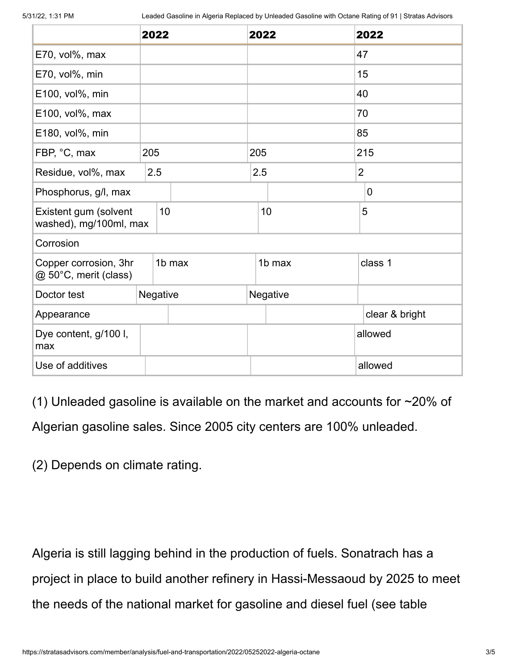<span id="page-2-1"></span><span id="page-2-0"></span>

|                                                                                                                                                                                          | 2022 |          |     | 2022     | 2022                                                                         |  |  |  |
|------------------------------------------------------------------------------------------------------------------------------------------------------------------------------------------|------|----------|-----|----------|------------------------------------------------------------------------------|--|--|--|
| E70, vol%, max                                                                                                                                                                           |      |          |     |          | 47                                                                           |  |  |  |
| E70, vol%, min                                                                                                                                                                           |      |          |     |          | 15                                                                           |  |  |  |
| E100, vol%, min                                                                                                                                                                          |      |          |     |          | 40                                                                           |  |  |  |
| E100, vol%, max                                                                                                                                                                          |      |          |     |          | 70                                                                           |  |  |  |
| E180, vol%, min                                                                                                                                                                          |      |          |     |          | 85                                                                           |  |  |  |
| FBP, °C, max<br>205                                                                                                                                                                      |      |          | 205 |          | 215                                                                          |  |  |  |
| Residue, vol%, max                                                                                                                                                                       |      | 2.5      |     | 2.5      | $\overline{2}$                                                               |  |  |  |
| Phosphorus, g/l, max                                                                                                                                                                     |      |          |     |          | $\mathbf 0$                                                                  |  |  |  |
| Existent gum (solvent<br>washed), mg/100ml, max                                                                                                                                          | 10   |          |     | 10       | 5                                                                            |  |  |  |
| Corrosion                                                                                                                                                                                |      |          |     |          |                                                                              |  |  |  |
| Copper corrosion, 3hr<br>@ 50°C, merit (class)                                                                                                                                           |      | 1b max   |     | 1b max   | class 1                                                                      |  |  |  |
| Doctor test                                                                                                                                                                              |      | Negative |     | Negative |                                                                              |  |  |  |
| Appearance                                                                                                                                                                               |      |          |     |          | clear & bright                                                               |  |  |  |
| Dye content, g/100 l,<br>max                                                                                                                                                             |      |          |     |          | allowed                                                                      |  |  |  |
| Use of additives                                                                                                                                                                         |      |          |     |          | allowed                                                                      |  |  |  |
| (1) Unleaded gasoline is available on the market and accounts for $\sim$ 20% of<br>Algerian gasoline sales. Since 2005 city centers are 100% unleaded.<br>(2) Depends on climate rating. |      |          |     |          |                                                                              |  |  |  |
| Algeria is still lagging behind in the production of fuels. Sonatrach has a                                                                                                              |      |          |     |          | project in place to build another refinery in Hassi-Messaoud by 2025 to meet |  |  |  |
|                                                                                                                                                                                          |      |          |     |          |                                                                              |  |  |  |
| the needs of the national market for gasoline and diesel fuel (see table                                                                                                                 |      |          |     |          |                                                                              |  |  |  |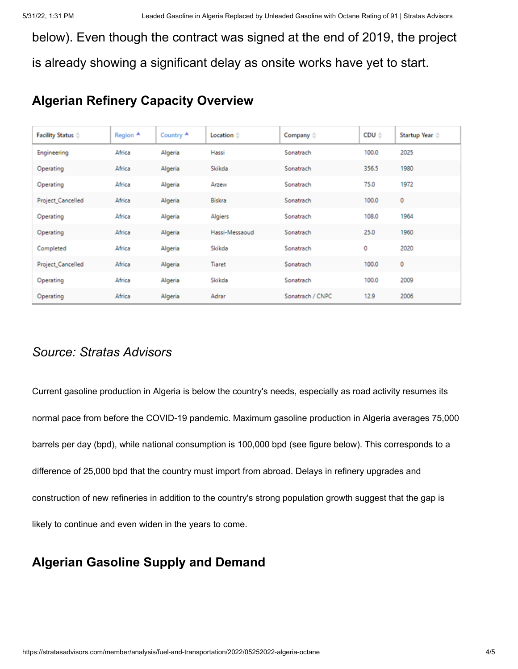below). Even though the contract was signed at the end of 2019, the project is already showing a significant delay as onsite works have yet to start.

# **Algerian Refinery Capacity Overview**

| Facility Status $\doteq$ | Region <sup>4</sup> | Country $\triangle$ | Location <sup>*</sup> | Company $\doteqdot$ | CDU ÷ | Startup Year $\triangleq$ |
|--------------------------|---------------------|---------------------|-----------------------|---------------------|-------|---------------------------|
| Engineering              | Africa              | Algeria             | Hassi                 | Sonatrach           | 100.0 | 2025                      |
| Operating                | Africa              | Algeria             | Skikda                | Sonatrach           | 356.5 | 1980                      |
| Operating                | Africa              | Algeria             | Arzew                 | Sonatrach           | 75.0  | 1972                      |
| Project_Cancelled        | Africa              | Algeria             | Biskra                | Sonatrach           | 100.0 | 0                         |
| Operating                | Africa              | Algeria             | Algiers               | Sonatrach           | 108.0 | 1964                      |
| Operating                | Africa              | Algeria             | Hassi-Messaoud        | Sonatrach           | 25.0  | 1960                      |
| Completed                | Africa              | Algeria             | Skikda                | Sonatrach           | 0     | 2020                      |
| Project_Cancelled        | Africa              | Algeria             | <b>Tiaret</b>         | Sonatrach           | 100.0 | 0                         |
| Operating                | Africa              | Algeria             | Skikda                | Sonatrach           | 100.0 | 2009                      |
| Operating                | Africa              | Algeria             | Adrar                 | Sonatrach / CNPC    | 12.9  | 2006                      |

## *Source: Stratas Advisors*

Current gasoline production in Algeria is below the country's needs, especially as road activity resumes its normal pace from before the COVID-19 pandemic. Maximum gasoline production in Algeria averages 75,000 barrels per day (bpd), while national consumption is 100,000 bpd (see figure below). This corresponds to a difference of 25,000 bpd that the country must import from abroad. Delays in refinery upgrades and construction of new refineries in addition to the country's strong population growth suggest that the gap is likely to continue and even widen in the years to come.

## **Algerian Gasoline Supply and Demand**